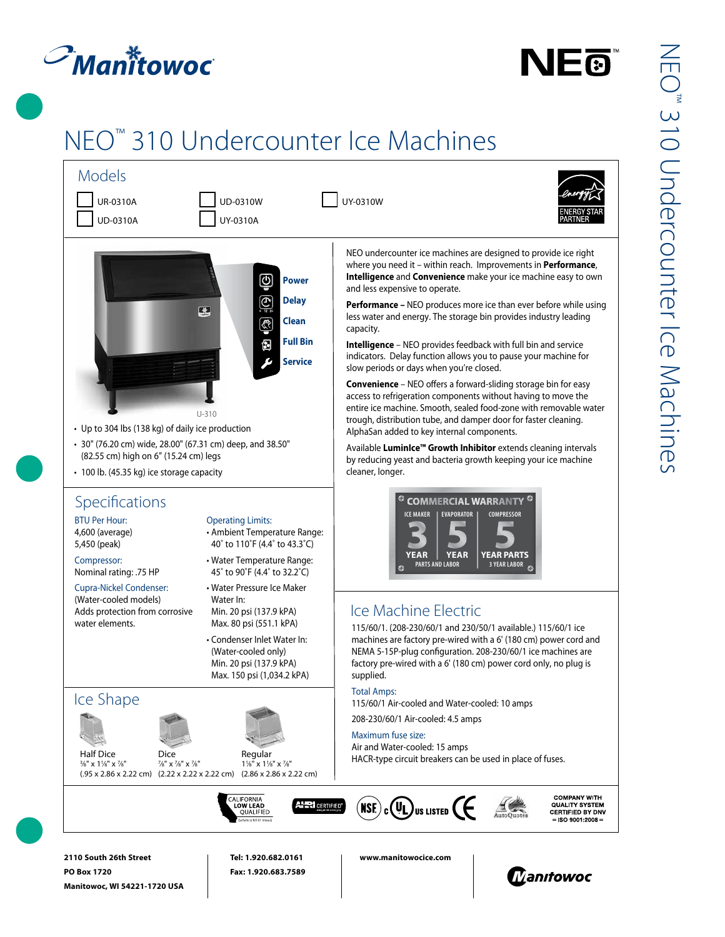# $\mathcal{P}_{\textit{Man}}$ itowoc

**Manitowoc, WI 54221-1720 USA**



## NEO™ 310 Undercounter Ice Machines